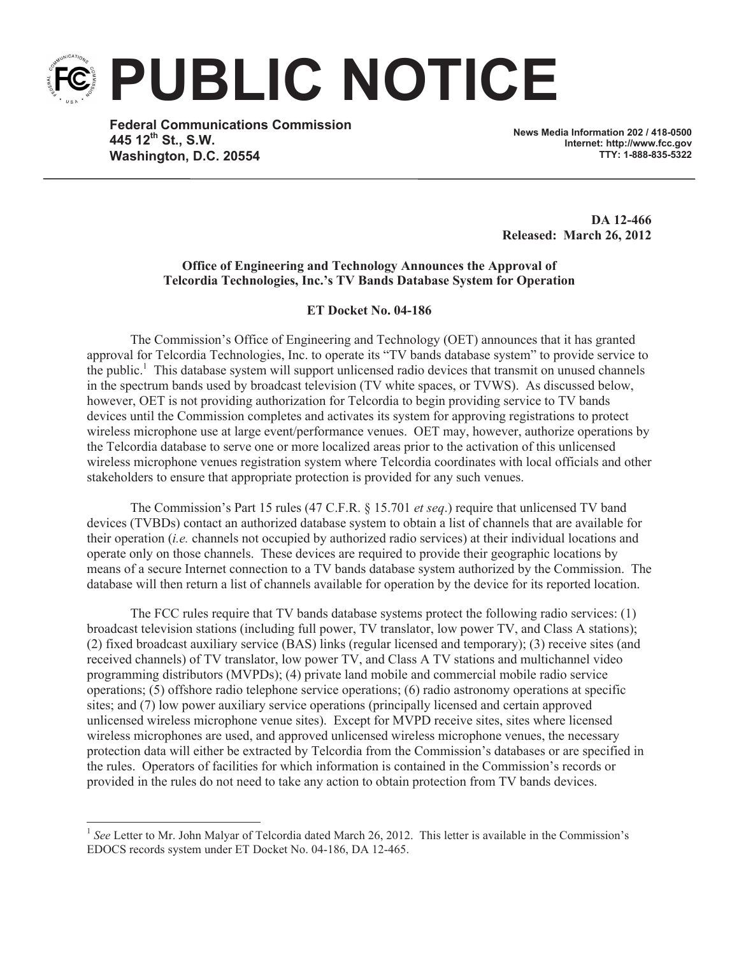**PUBLIC NOTICE**

**Federal Communications Commission 445 12th St., S.W. Washington, D.C. 20554**

**News Media Information 202 / 418-0500 Internet: http://www.fcc.gov TTY: 1-888-835-5322**

**DA 12-466 Released: March 26, 2012**

## **Office of Engineering and Technology Announces the Approval of Telcordia Technologies, Inc.'s TV Bands Database System for Operation**

## **ET Docket No. 04-186**

The Commission's Office of Engineering and Technology (OET) announces that it has granted approval for Telcordia Technologies, Inc. to operate its "TV bands database system" to provide service to the public.<sup>1</sup> This database system will support unlicensed radio devices that transmit on unused channels in the spectrum bands used by broadcast television (TV white spaces, or TVWS). As discussed below, however, OET is not providing authorization for Telcordia to begin providing service to TV bands devices until the Commission completes and activates its system for approving registrations to protect wireless microphone use at large event/performance venues. OET may, however, authorize operations by the Telcordia database to serve one or more localized areas prior to the activation of this unlicensed wireless microphone venues registration system where Telcordia coordinates with local officials and other stakeholders to ensure that appropriate protection is provided for any such venues.

The Commission's Part 15 rules (47 C.F.R. § 15.701 *et seq*.) require that unlicensed TV band devices (TVBDs) contact an authorized database system to obtain a list of channels that are available for their operation (*i.e.* channels not occupied by authorized radio services) at their individual locations and operate only on those channels. These devices are required to provide their geographic locations by means of a secure Internet connection to a TV bands database system authorized by the Commission. The database will then return a list of channels available for operation by the device for its reported location.

The FCC rules require that TV bands database systems protect the following radio services: (1) broadcast television stations (including full power, TV translator, low power TV, and Class A stations); (2) fixed broadcast auxiliary service (BAS) links (regular licensed and temporary); (3) receive sites (and received channels) of TV translator, low power TV, and Class A TV stations and multichannel video programming distributors (MVPDs); (4) private land mobile and commercial mobile radio service operations; (5) offshore radio telephone service operations; (6) radio astronomy operations at specific sites; and (7) low power auxiliary service operations (principally licensed and certain approved unlicensed wireless microphone venue sites). Except for MVPD receive sites, sites where licensed wireless microphones are used, and approved unlicensed wireless microphone venues, the necessary protection data will either be extracted by Telcordia from the Commission's databases or are specified in the rules. Operators of facilities for which information is contained in the Commission's records or provided in the rules do not need to take any action to obtain protection from TV bands devices.

<sup>&</sup>lt;sup>1</sup> See Letter to Mr. John Malyar of Telcordia dated March 26, 2012. This letter is available in the Commission's EDOCS records system under ET Docket No. 04-186, DA 12-465.